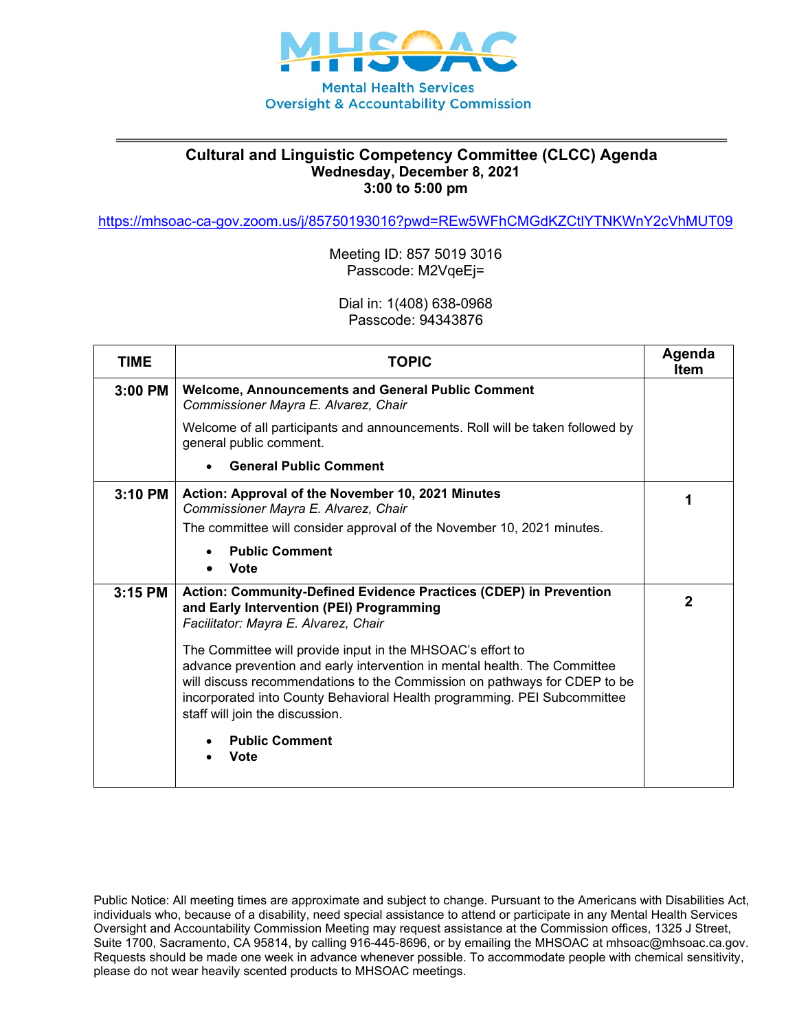

## **Cultural and Linguistic Competency Committee (CLCC) Agenda Wednesday, December 8, 2021 3:00 to 5:00 pm**

<https://mhsoac-ca-gov.zoom.us/j/85750193016?pwd=REw5WFhCMGdKZCtlYTNKWnY2cVhMUT09>

Meeting ID: 857 5019 3016 Passcode: M2VqeEj=

Dial in: 1(408) 638-0968 Passcode: 94343876

| <b>TIME</b> | <b>TOPIC</b>                                                                                                                                                                                                                                                                                                                        | Agenda<br><b>Item</b> |
|-------------|-------------------------------------------------------------------------------------------------------------------------------------------------------------------------------------------------------------------------------------------------------------------------------------------------------------------------------------|-----------------------|
| $3:00$ PM   | <b>Welcome, Announcements and General Public Comment</b><br>Commissioner Mayra E. Alvarez, Chair                                                                                                                                                                                                                                    |                       |
|             | Welcome of all participants and announcements. Roll will be taken followed by<br>general public comment.                                                                                                                                                                                                                            |                       |
|             | <b>General Public Comment</b>                                                                                                                                                                                                                                                                                                       |                       |
| 3:10 PM     | Action: Approval of the November 10, 2021 Minutes<br>Commissioner Mayra E. Alvarez, Chair                                                                                                                                                                                                                                           | 1                     |
|             | The committee will consider approval of the November 10, 2021 minutes.                                                                                                                                                                                                                                                              |                       |
|             | <b>Public Comment</b><br><b>Vote</b>                                                                                                                                                                                                                                                                                                |                       |
| $3:15$ PM   | Action: Community-Defined Evidence Practices (CDEP) in Prevention<br>and Early Intervention (PEI) Programming<br>Facilitator: Mayra E. Alvarez, Chair                                                                                                                                                                               | $\mathbf 2$           |
|             | The Committee will provide input in the MHSOAC's effort to<br>advance prevention and early intervention in mental health. The Committee<br>will discuss recommendations to the Commission on pathways for CDEP to be<br>incorporated into County Behavioral Health programming. PEI Subcommittee<br>staff will join the discussion. |                       |
|             | <b>Public Comment</b><br><b>Vote</b>                                                                                                                                                                                                                                                                                                |                       |

Public Notice: All meeting times are approximate and subject to change. Pursuant to the Americans with Disabilities Act, individuals who, because of a disability, need special assistance to attend or participate in any Mental Health Services Oversight and Accountability Commission Meeting may request assistance at the Commission offices, 1325 J Street, Suite 1700, Sacramento, CA 95814, by calling 916-445-8696, or by emailing the MHSOAC at mhsoac@mhsoac.ca.gov. Requests should be made one week in advance whenever possible. To accommodate people with chemical sensitivity, please do not wear heavily scented products to MHSOAC meetings.